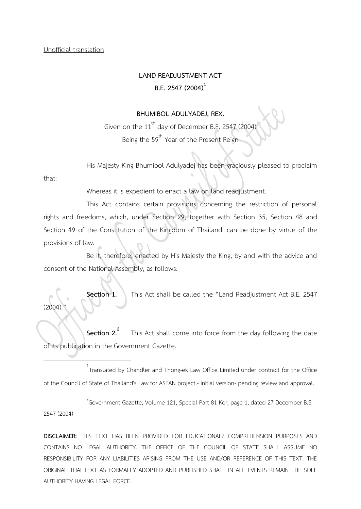# **LAND READJUSTMENT ACT B.E. 2547 (2004)<sup>1</sup>**

#### **BHUMIBOL ADULYADEJ, REX.**

Given on the  $11<sup>th</sup>$  day of December B.E. 2547 (2004) Being the 59<sup>th</sup> Year of the Present Reign

His Majesty King Bhumibol Adulyadej has been graciously pleased to proclaim

that:

Whereas it is expedient to enact a law on land readjustment.

This Act contains certain provisions concerning the restriction of personal rights and freedoms, which, under Section 29, together with Section 35, Section 48 and Section 49 of the Constitution of the Kingdom of Thailand, can be done by virtue of the provisions of law.

Be it, therefore, enacted by His Majesty the King, by and with the advice and consent of the National Assembly, as follows:

**Section 1.** This Act shall be called the "Land Readjustment Act B.E. 2547  $(2004)$ 

**Section 2. 2** This Act shall come into force from the day following the date of its publication in the Government Gazette.

1 Translated by Chandler and Thong-ek Law Office Limited under contract for the Office of the Council of State of Thailand's Law for ASEAN project.- Initial version- pending review and approval.

 $^{2}$ Government Gazette, Volume 121, Special Part 81 Kor, page 1, dated 27 December B.E.

2547 (2004)

**.**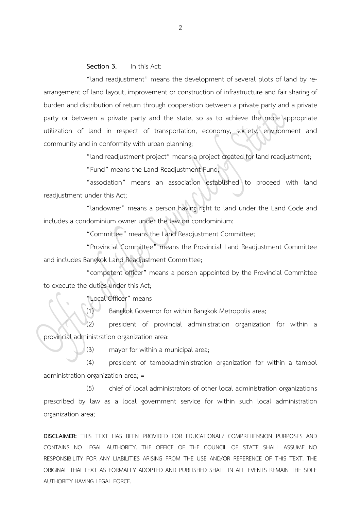#### **Section 3.** In this Act:

"land readjustment" means the development of several plots of land by rearrangement of land layout, improvement or construction of infrastructure and fair sharing of burden and distribution of return through cooperation between a private party and a private party or between a private party and the state, so as to achieve the more appropriate utilization of land in respect of transportation, economy, society, environment and community and in conformity with urban planning;

"land readjustment project" means a project created for land readjustment;

"Fund" means the Land Readjustment Fund;

"association" means an association established to proceed with land readjustment under this Act;

"landowner" means a person having right to land under the Land Code and includes a condominium owner under the law on condominium;

"Committee" means the Land Readjustment Committee;

"Provincial Committee" means the Provincial Land Readjustment Committee and includes Bangkok Land Readjustment Committee;

"competent officer" means a person appointed by the Provincial Committee to execute the duties under this Act;

"Local Officer" means

(1) Bangkok Governor for within Bangkok Metropolis area;

(2) president of provincial administration organization for within a provincial administration organization area:

(3) mayor for within a municipal area;

(4) president of tamboladministration organization for within a tambol administration organization area; =

(5) chief of local administrators of other local administration organizations prescribed by law as a local government service for within such local administration organization area;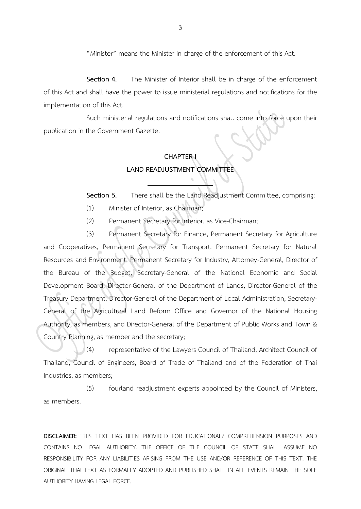"Minister" means the Minister in charge of the enforcement of this Act.

**Section 4.** The Minister of Interior shall be in charge of the enforcement of this Act and shall have the power to issue ministerial regulations and notifications for the implementation of this Act.

Such ministerial regulations and notifications shall come into force upon their publication in the Government Gazette.

# **CHAPTER I LAND READJUSTMENT COMMITTEE**

**Section 5.** There shall be the Land Readjustment Committee, comprising:

- (1) Minister of Interior, as Chairman;
- (2) Permanent Secretary for Interior, as Vice-Chairman;

(3) Permanent Secretary for Finance, Permanent Secretary for Agriculture and Cooperatives, Permanent Secretary for Transport, Permanent Secretary for Natural Resources and Environment, Permanent Secretary for Industry, Attorney-General, Director of the Bureau of the Budget, Secretary-General of the National Economic and Social Development Board, Director-General of the Department of Lands, Director-General of the Treasury Department, Director-General of the Department of Local Administration, Secretary-General of the Agricultural Land Reform Office and Governor of the National Housing Authority, as members, and Director-General of the Department of Public Works and Town & Country Planning, as member and the secretary;

 $(4)$  representative of the Lawyers Council of Thailand, Architect Council of Thailand, Council of Engineers, Board of Trade of Thailand and of the Federation of Thai Industries, as members;

(5) fourland readjustment experts appointed by the Council of Ministers, as members.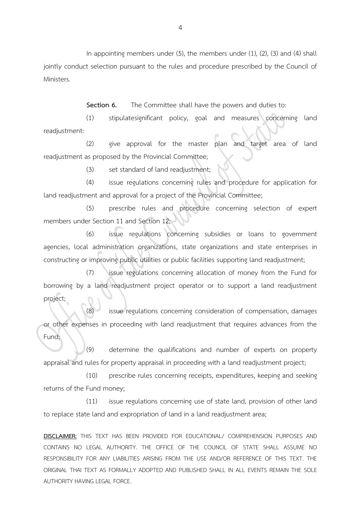In appointing members under (5), the members under (1), (2), (3) and (4) shall jointly conduct selection pursuant to the rules and procedure prescribed by the Council of Ministers.

**Section 6.** The Committee shall have the powers and duties to:

(1) stipulatesignificant policy, goal and measures concerning land readjustment:

(2) give approval for the master plan and target area of land readjustment as proposed by the Provincial Committee;

(3) set standard of land readjustment;

(4) issue regulations concerning rules and procedure for application for land readjustment and approval for a project of the Provincial Committee;

(5) prescribe rules and procedure concerning selection of expert members under Section 11 and Section 12;

(6) issue regulations concerning subsidies or loans to government agencies, local administration organizations, state organizations and state enterprises in constructing or improving public utilities or public facilities supporting land readjustment;

(7) issue regulations concerning allocation of money from the Fund for borrowing by a land readjustment project operator or to support a land readjustment project;

(8) issue regulations concerning consideration of compensation, damages or other expenses in proceeding with land readjustment that requires advances from the Fund;

(9) determine the qualifications and number of experts on property appraisal and rules for property appraisal in proceeding with a land readjustment project;

(10) prescribe rules concerning receipts, expenditures, keeping and seeking returns of the Fund money;

(11) issue regulations concerning use of state land, provision of other land to replace state land and expropriation of land in a land readjustment area;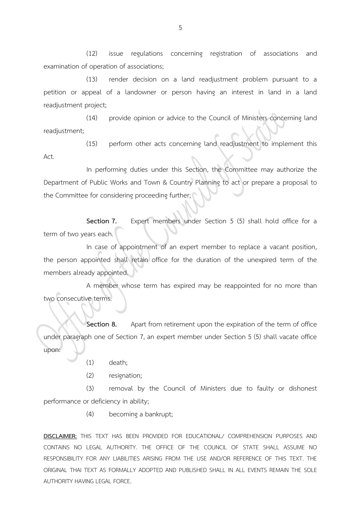(12) issue regulations concerning registration of associations and examination of operation of associations;

(13) render decision on a land readjustment problem pursuant to a petition or appeal of a landowner or person having an interest in land in a land readjustment project;

(14) provide opinion or advice to the Council of Ministers concerning land readjustment;

(15) perform other acts concerning land readjustment to implement this Act.

In performing duties under this Section, the Committee may authorize the Department of Public Works and Town & Country Planning to act or prepare a proposal to the Committee for considering proceeding further;

**Section 7.** Expert members under Section 5 (5) shall hold office for a term of two years each.

In case of appointment of an expert member to replace a vacant position, the person appointed shall retain office for the duration of the unexpired term of the members already appointed.

A member whose term has expired may be reappointed for no more than two consecutive terms.

**Section 8.** Apart from retirement upon the expiration of the term of office under paragraph one of Section 7, an expert member under Section 5 (5) shall vacate office upon:

- (1) death;
- (2) resignation;

(3) removal by the Council of Ministers due to faulty or dishonest performance or deficiency in ability;

(4) becoming a bankrupt;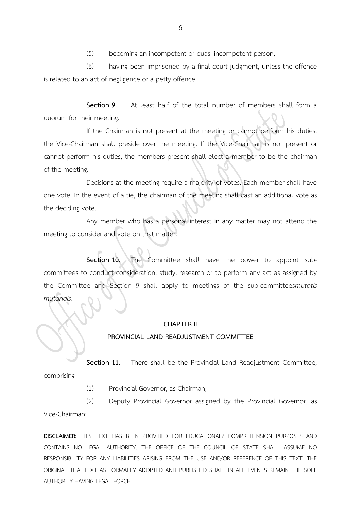(6) having been imprisoned by a final court judgment, unless the offence is related to an act of negligence or a petty offence.

**Section 9.** At least half of the total number of members shall form a quorum for their meeting.

If the Chairman is not present at the meeting or cannot perform his duties, the Vice-Chairman shall preside over the meeting. If the Vice-Chairman is not present or cannot perform his duties, the members present shall elect a member to be the chairman of the meeting.

Decisions at the meeting require a majority of votes. Each member shall have one vote. In the event of a tie, the chairman of the meeting shall cast an additional vote as the deciding vote.

Any member who has a personal interest in any matter may not attend the meeting to consider and vote on that matter.

**Section 10.** The Committee shall have the power to appoint subcommittees to conduct consideration, study, research or to perform any act as assigned by the Committee and Section 9 shall apply to meetings of the sub-committees*mutatis mutandis*.

#### **CHAPTER II**

#### **PROVINCIAL LAND READJUSTMENT COMMITTEE**

**Section 11.** There shall be the Provincial Land Readjustment Committee, comprising

(1) Provincial Governor, as Chairman;

(2) Deputy Provincial Governor assigned by the Provincial Governor, as

Vice-Chairman;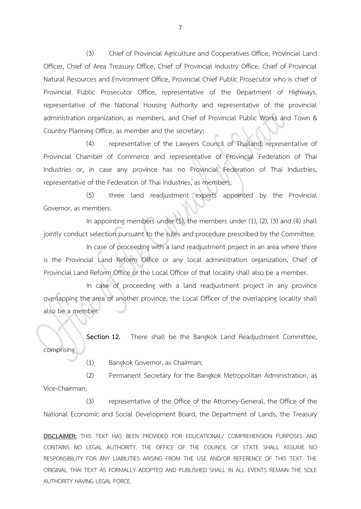(3) Chief of Provincial Agriculture and Cooperatives Office, Provincial Land Officer, Chief of Area Treasury Office, Chief of Provincial Industry Office, Chief of Provincial Natural Resources and Environment Office, Provincial Chief Public Prosecutor who is chief of Provincial Public Prosecutor Office, representative of the Department of Highways, representative of the National Housing Authority and representative of the provincial administration organization, as members, and Chief of Provincial Public Works and Town & Country Planning Office, as member and the secretary;

(4) representative of the Lawyers Council of Thailand, representative of Provincial Chamber of Commerce and representative of Provincial Federation of Thai Industries or, in case any province has no Provincial Federation of Thai Industries, representative of the Federation of Thai Industries, as members;

(5) three land readjustment experts appointed by the Provincial Governor, as members.

In appointing members under (5), the members under (1), (2), (3) and (4) shall jointly conduct selection pursuant to the rules and procedure prescribed by the Committee.

In case of proceeding with a land readjustment project in an area where there is the Provincial Land Reform Office or any local administration organization, Chief of Provincial Land Reform Office or the Local Officer of that locality shall also be a member.

In case of proceeding with a land readjustment project in any province overlapping the area of another province, the Local Officer of the overlapping locality shall also be a member.

**Section 12.** There shall be the Bangkok Land Readjustment Committee, comprising

(1) Bangkok Governor, as Chairman;

(2) Permanent Secretary for the Bangkok Metropolitan Administration, as Vice-Chairman;

(3) representative of the Office of the Attorney-General, the Office of the National Economic and Social Development Board, the Department of Lands, the Treasury

**DISCLAIMER:** THIS TEXT HAS BEEN PROVIDED FOR EDUCATIONAL/ COMPREHENSION PURPOSES AND CONTAINS NO LEGAL AUTHORITY. THE OFFICE OF THE COUNCIL OF STATE SHALL ASSUME NO RESPONSIBILITY FOR ANY LIABILITIES ARISING FROM THE USE AND/OR REFERENCE OF THIS TEXT. THE ORIGINAL THAI TEXT AS FORMALLY ADOPTED AND PUBLISHED SHALL IN ALL EVENTS REMAIN THE SOLE AUTHORITY HAVING LEGAL FORCE.

7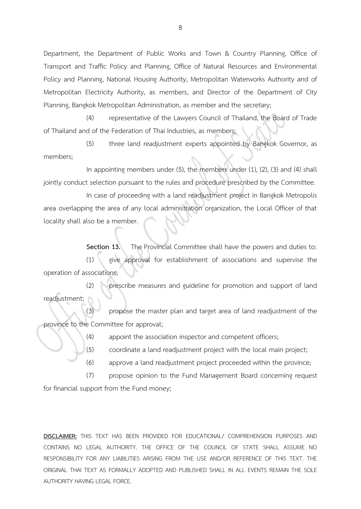Department, the Department of Public Works and Town & Country Planning, Office of Transport and Traffic Policy and Planning, Office of Natural Resources and Environmental Policy and Planning, National Housing Authority, Metropolitan Waterworks Authority and of Metropolitan Electricity Authority, as members, and Director of the Department of City Planning, Bangkok Metropolitan Administration, as member and the secretary;

(4) representative of the Lawyers Council of Thailand, the Board of Trade of Thailand and of the Federation of Thai Industries, as members;

(5) three land readjustment experts appointed by Bangkok Governor, as members;

In appointing members under (5), the members under (1), (2), (3) and (4) shall jointly conduct selection pursuant to the rules and procedure prescribed by the Committee.

In case of proceeding with a land readjustment project in Bangkok Metropolis area overlapping the area of any local administration organization, the Local Officer of that locality shall also be a member.

**Section 13.** The Provincial Committee shall have the powers and duties to: (1) give approval for establishment of associations and supervise the operation of associations;

(2) prescribe measures and guideline for promotion and support of land readjustment;

(3) propose the master plan and target area of land readjustment of the province to the Committee for approval;

(4) appoint the association inspector and competent officers;

(5) coordinate a land readjustment project with the local main project;

(6) approve a land readjustment project proceeded within the province;

(7) propose opinion to the Fund Management Board concerning request for financial support from the Fund money;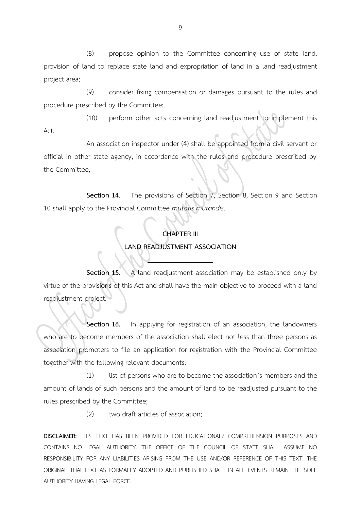(8) propose opinion to the Committee concerning use of state land, provision of land to replace state land and expropriation of land in a land readjustment project area;

(9) consider fixing compensation or damages pursuant to the rules and procedure prescribed by the Committee;

(10) perform other acts concerning land readjustment to implement this

Act.

An association inspector under (4) shall be appointed from a civil servant or official in other state agency, in accordance with the rules and procedure prescribed by the Committee;

**Section 14.** The provisions of Section 7, Section 8, Section 9 and Section 10 shall apply to the Provincial Committee *mutatis mutandis*.

# **CHAPTER III**

## **LAND READJUSTMENT ASSOCIATION**

**Section 15.** A land readjustment association may be established only by virtue of the provisions of this Act and shall have the main objective to proceed with a land readjustment project.

**Section 16.** In applying for registration of an association, the landowners who are to become members of the association shall elect not less than three persons as association promoters to file an application for registration with the Provincial Committee together with the following relevant documents:

(1) list of persons who are to become the association's members and the amount of lands of such persons and the amount of land to be readjusted pursuant to the rules prescribed by the Committee;

(2) two draft articles of association;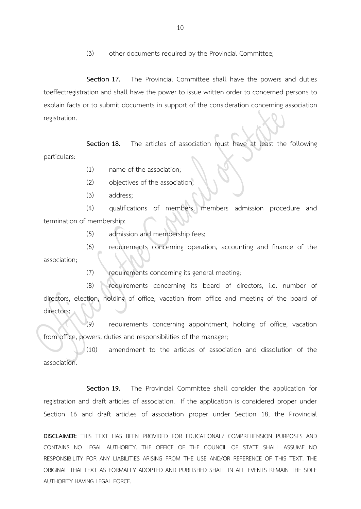(3) other documents required by the Provincial Committee;

**Section 17.** The Provincial Committee shall have the powers and duties toeffectregistration and shall have the power to issue written order to concerned persons to explain facts or to submit documents in support of the consideration concerning association registration.

**Section 18.** The articles of association must have at least the following particulars:

(1) name of the association;

(2) objectives of the association;

(3) address;

(4) qualifications of members, members admission procedure and termination of membership;

(5) admission and membership fees;

(6) requirements concerning operation, accounting and finance of the association;

(7) requirements concerning its general meeting;

(8) requirements concerning its board of directors, i.e. number of directors, election, holding of office, vacation from office and meeting of the board of directors;

 $(9)$  requirements concerning appointment, holding of office, vacation from office, powers, duties and responsibilities of the manager;

(10) amendment to the articles of association and dissolution of the association.

**Section 19.** The Provincial Committee shall consider the application for registration and draft articles of association. If the application is considered proper under Section 16 and draft articles of association proper under Section 18, the Provincial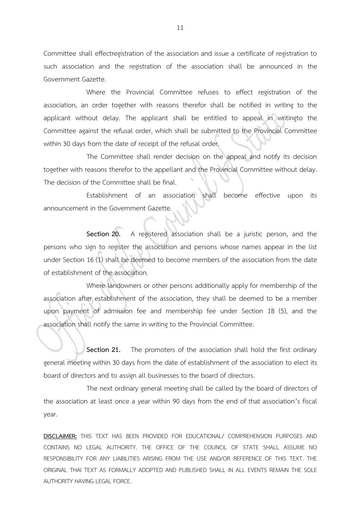Committee shall effectregistration of the association and issue a certificate of registration to such association and the registration of the association shall be announced in the Government Gazette.

Where the Provincial Committee refuses to effect registration of the association, an order together with reasons therefor shall be notified in writing to the applicant without delay. The applicant shall be entitled to appeal in writingto the Committee against the refusal order, which shall be submitted to the Provincial Committee within 30 days from the date of receipt of the refusal order.

The Committee shall render decision on the appeal and notify its decision together with reasons therefor to the appellant and the Provincial Committee without delay. The decision of the Committee shall be final.

Establishment of an association shall become effective upon its announcement in the Government Gazette.

**Section 20.** A registered association shall be a juristic person, and the persons who sign to register the association and persons whose names appear in the list under Section 16 (1) shall be deemed to become members of the association from the date of establishment of the association.

Where landowners or other persons additionally apply for membership of the association after establishment of the association, they shall be deemed to be a member upon payment of admission fee and membership fee under Section 18 (5), and the association shall notify the same in writing to the Provincial Committee.

**Section 21.** The promoters of the association shall hold the first ordinary general meeting within 30 days from the date of establishment of the association to elect its board of directors and to assign all businesses to the board of directors.

The next ordinary general meeting shall be called by the board of directors of the association at least once a year within 90 days from the end of that association's fiscal year.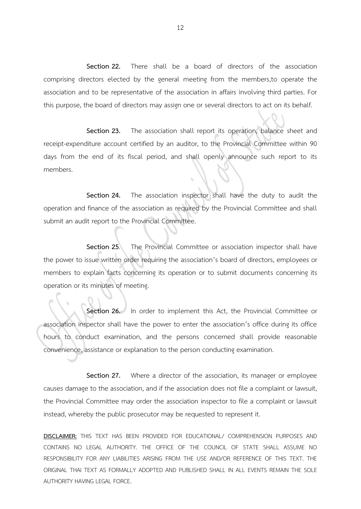**Section 22.** There shall be a board of directors of the association comprising directors elected by the general meeting from the members,to operate the association and to be representative of the association in affairs involving third parties. For this purpose, the board of directors may assign one or several directors to act on its behalf.

**Section 23.** The association shall report its operation, balance sheet and receipt-expenditure account certified by an auditor, to the Provincial Committee within 90 days from the end of its fiscal period, and shall openly announce such report to its members.

**Section 24.** The association inspector shall have the duty to audit the operation and finance of the association as required by the Provincial Committee and shall submit an audit report to the Provincial Committee.

**Section 25**. The Provincial Committee or association inspector shall have the power to issue written order requiring the association's board of directors, employees or members to explain facts concerning its operation or to submit documents concerning its operation or its minutes of meeting.

**Section 26.** In order to implement this Act, the Provincial Committee or association inspector shall have the power to enter the association's office during its office hours to conduct examination, and the persons concerned shall provide reasonable convenience, assistance or explanation to the person conducting examination.

**Section 27.** Where a director of the association, its manager or employee causes damage to the association, and if the association does not file a complaint or lawsuit, the Provincial Committee may order the association inspector to file a complaint or lawsuit instead, whereby the public prosecutor may be requested to represent it.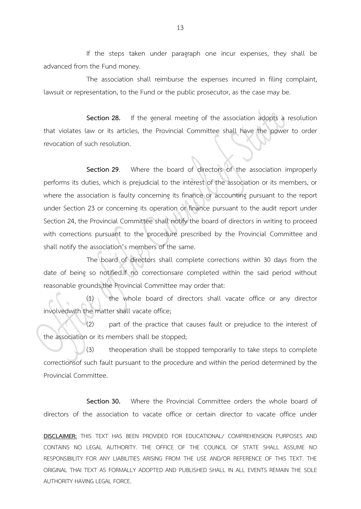If the steps taken under paragraph one incur expenses, they shall be advanced from the Fund money.

The association shall reimburse the expenses incurred in filing complaint, lawsuit or representation, to the Fund or the public prosecutor, as the case may be.

**Section 28.** If the general meeting of the association adopts a resolution that violates law or its articles, the Provincial Committee shall have the power to order revocation of such resolution.

**Section 29**. Where the board of directors of the association improperly performs its duties, which is prejudicial to the interest of the association or its members, or where the association is faulty concerning its finance or accounting pursuant to the report under Section 23 or concerning its operation or finance pursuant to the audit report under Section 24, the Provincial Committee shall notify the board of directors in writing to proceed with corrections pursuant to the procedure prescribed by the Provincial Committee and shall notify the association's members of the same.

The board of directors shall complete corrections within 30 days from the date of being so notified.If no correctionsare completed within the said period without reasonable grounds,the Provincial Committee may order that:

(1) the whole board of directors shall vacate office or any director involvedwith the matter shall vacate office;

 $(2)$  part of the practice that causes fault or prejudice to the interest of the association or its members shall be stopped;

(3) theoperation shall be stopped temporarily to take steps to complete correctionsof such fault pursuant to the procedure and within the period determined by the Provincial Committee.

**Section 30.** Where the Provincial Committee orders the whole board of directors of the association to vacate office or certain director to vacate office under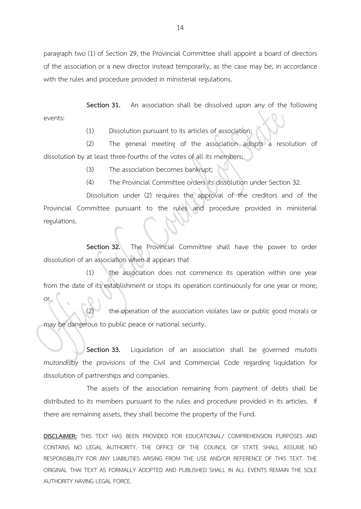paragraph two (1) of Section 29, the Provincial Committee shall appoint a board of directors of the association or a new director instead temporarily, as the case may be, in accordance with the rules and procedure provided in ministerial regulations.

**Section 31.** An association shall be dissolved upon any of the following events:

(1) Dissolution pursuant to its articles of association;

(2) The general meeting of the association adopts a resolution of dissolution by at least three-fourths of the votes of all its members;

(3) The association becomes bankrupt;

(4) The Provincial Committee orders its dissolution under Section 32.

Dissolution under (2) requires the approval of the creditors and of the Provincial Committee pursuant to the rules and procedure provided in ministerial regulations.

**Section 32.** The Provincial Committee shall have the power to order dissolution of an association when it appears that

(1) the association does not commence its operation within one year from the date of its establishment or stops its operation continuously for one year or more; or

the operation of the association violates law or public good morals or may be dangerous to public peace or national security.

**Section 33.** Liquidation of an association shall be governed *mutatis mutandis*by the provisions of the Civil and Commercial Code regarding liquidation for dissolution of partnerships and companies.

The assets of the association remaining from payment of debts shall be distributed to its members pursuant to the rules and procedure provided in its articles. If there are remaining assets, they shall become the property of the Fund.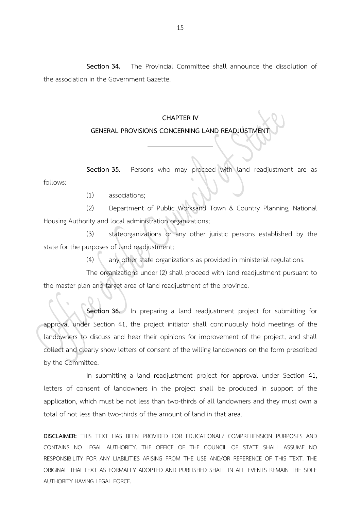**Section 34.** The Provincial Committee shall announce the dissolution of the association in the Government Gazette.

#### **CHAPTER IV**

## **GENERAL PROVISIONS CONCERNING LAND READJUSTMENT**

**Section 35.** Persons who may proceed with land readjustment are as follows:

(1) associations;

(2) Department of Public Worksand Town & Country Planning, National Housing Authority and local administration organizations;

(3) stateorganizations or any other juristic persons established by the state for the purposes of land readjustment;

(4) any other state organizations as provided in ministerial regulations.

The organizations under (2) shall proceed with land readjustment pursuant to the master plan and target area of land readjustment of the province.

**Section 36.** In preparing a land readjustment project for submitting for approval under Section 41, the project initiator shall continuously hold meetings of the landowners to discuss and hear their opinions for improvement of the project, and shall collect and clearly show letters of consent of the willing landowners on the form prescribed by the Committee.

In submitting a land readjustment project for approval under Section 41, letters of consent of landowners in the project shall be produced in support of the application, which must be not less than two-thirds of all landowners and they must own a total of not less than two-thirds of the amount of land in that area.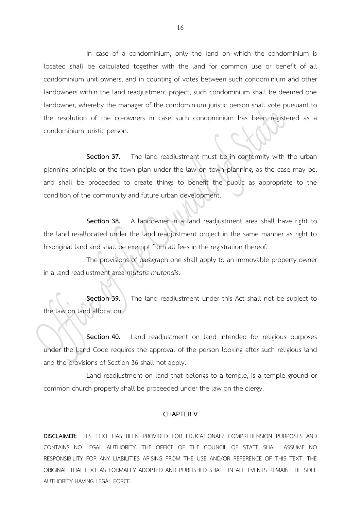In case of a condominium, only the land on which the condominium is located shall be calculated together with the land for common use or benefit of all condominium unit owners, and in counting of votes between such condominium and other landowners within the land readjustment project, such condominium shall be deemed one landowner, whereby the manager of the condominium juristic person shall vote pursuant to the resolution of the co-owners in case such condominium has been registered as a condominium juristic person.

**Section 37.** The land readjustment must be in conformity with the urban planning principle or the town plan under the law on town planning, as the case may be, and shall be proceeded to create things to benefit the public as appropriate to the condition of the community and future urban development.

**Section 38.** A landowner in a land readjustment area shall have right to the land re-allocated under the land readjustment project in the same manner as right to hisoriginal land and shall be exempt from all fees in the registration thereof.

The provisions of paragraph one shall apply to an immovable property owner in a land readjustment area *mutatis mutandis*.

**Section 39.** The land readjustment under this Act shall not be subject to the law on land allocation.

**Section 40.** Land readjustment on land intended for religious purposes under the Land Code requires the approval of the person looking after such religious land and the provisions of Section 36 shall not apply.

Land readjustment on land that belongs to a temple, is a temple ground or common church property shall be proceeded under the law on the clergy.

#### **CHAPTER V**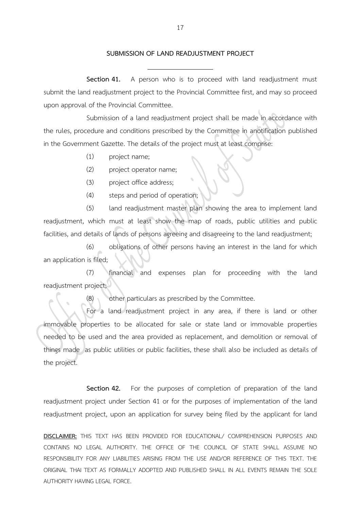#### **SUBMISSION OF LAND READJUSTMENT PROJECT**

**Section 41.** A person who is to proceed with land readjustment must submit the land readjustment project to the Provincial Committee first, and may so proceed upon approval of the Provincial Committee.

Submission of a land readjustment project shall be made in accordance with the rules, procedure and conditions prescribed by the Committee in anotification published in the Government Gazette. The details of the project must at least comprise:

- (1) project name;
- (2) project operator name;
- (3) project office address;
- (4) steps and period of operation;

(5) land readjustment master plan showing the area to implement land readjustment, which must at least show the map of roads, public utilities and public facilities, and details of lands of persons agreeing and disagreeing to the land readjustment;

(6) obligations of other persons having an interest in the land for which an application is filed;

(7) financial and expenses plan for proceeding with the land readjustment project;

(8) other particulars as prescribed by the Committee.

For a land readjustment project in any area, if there is land or other immovable properties to be allocated for sale or state land or immovable properties needed to be used and the area provided as replacement, and demolition or removal of things made as public utilities or public facilities, these shall also be included as details of the project.

**Section 42.** For the purposes of completion of preparation of the land readjustment project under Section 41 or for the purposes of implementation of the land readjustment project, upon an application for survey being filed by the applicant for land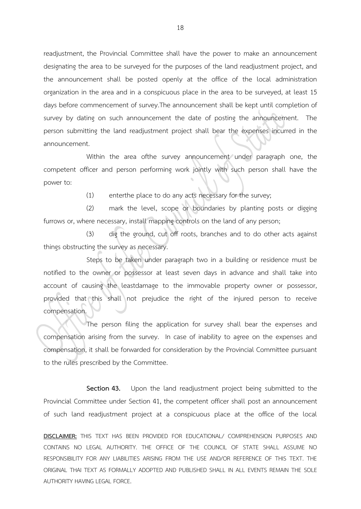readjustment, the Provincial Committee shall have the power to make an announcement designating the area to be surveyed for the purposes of the land readjustment project, and the announcement shall be posted openly at the office of the local administration organization in the area and in a conspicuous place in the area to be surveyed, at least 15 days before commencement of survey.The announcement shall be kept until completion of survey by dating on such announcement the date of posting the announcement. The person submitting the land readjustment project shall bear the expenses incurred in the announcement.

Within the area ofthe survey announcement under paragraph one, the competent officer and person performing work jointly with such person shall have the power to:

(1) enterthe place to do any acts necessary for the survey;

(2) mark the level, scope or boundaries by planting posts or digging furrows or, where necessary, install mapping controls on the land of any person;

(3) dig the ground, cut off roots, branches and to do other acts against things obstructing the survey as necessary.

Steps to be taken under paragraph two in a building or residence must be notified to the owner or possessor at least seven days in advance and shall take into account of causing the leastdamage to the immovable property owner or possessor, provided that this shall not prejudice the right of the injured person to receive compensation.

The person filing the application for survey shall bear the expenses and compensation arising from the survey. In case of inability to agree on the expenses and compensation, it shall be forwarded for consideration by the Provincial Committee pursuant to the rules prescribed by the Committee.

**Section 43.** Upon the land readjustment project being submitted to the Provincial Committee under Section 41, the competent officer shall post an announcement of such land readjustment project at a conspicuous place at the office of the local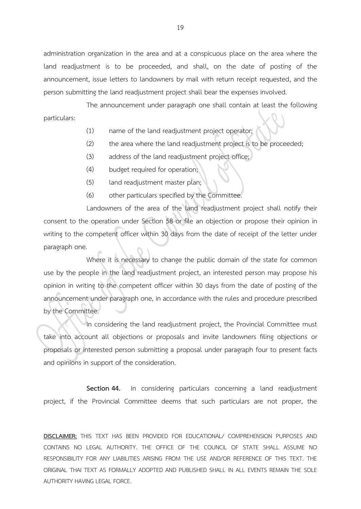administration organization in the area and at a conspicuous place on the area where the land readjustment is to be proceeded, and shall, on the date of posting of the announcement, issue letters to landowners by mail with return receipt requested, and the person submitting the land readjustment project shall bear the expenses involved.

The announcement under paragraph one shall contain at least the following particulars:

- (1) name of the land readjustment project operator;
- (2) the area where the land readjustment project is to be proceeded;
- (3) address of the land readjustment project office;
- (4) budget required for operation;
- (5) land readjustment master plan;
- (6) other particulars specified by the Committee.

Landowners of the area of the land readjustment project shall notify their consent to the operation under Section 58 or file an objection or propose their opinion in writing to the competent officer within 30 days from the date of receipt of the letter under paragraph one.

Where it is necessary to change the public domain of the state for common use by the people in the land readjustment project, an interested person may propose his opinion in writing to the competent officer within 30 days from the date of posting of the announcement under paragraph one, in accordance with the rules and procedure prescribed by the Committee.

In considering the land readjustment project, the Provincial Committee must take into account all objections or proposals and invite landowners filing objections or proposals or interested person submitting a proposal under paragraph four to present facts and opinions in support of the consideration.

**Section 44.** In considering particulars concerning a land readjustment project, if the Provincial Committee deems that such particulars are not proper, the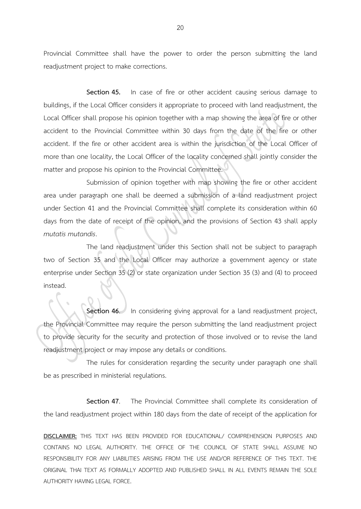Provincial Committee shall have the power to order the person submitting the land readjustment project to make corrections.

Section 45. In case of fire or other accident causing serious damage to buildings, if the Local Officer considers it appropriate to proceed with land readjustment, the Local Officer shall propose his opinion together with a map showing the area of fire or other accident to the Provincial Committee within 30 days from the date of the fire or other accident. If the fire or other accident area is within the jurisdiction of the Local Officer of more than one locality, the Local Officer of the locality concerned shall jointly consider the matter and propose his opinion to the Provincial Committee.

Submission of opinion together with map showing the fire or other accident area under paragraph one shall be deemed a submission of a land readjustment project under Section 41 and the Provincial Committee shall complete its consideration within 60 days from the date of receipt of the opinion, and the provisions of Section 43 shall apply *mutatis mutandis*.

The land readjustment under this Section shall not be subject to paragraph two of Section 35 and the Local Officer may authorize a government agency or state enterprise under Section 35 (2) or state organization under Section 35 (3) and (4) to proceed instead.

**Section 46.** In considering giving approval for a land readjustment project, the Provincial Committee may require the person submitting the land readjustment project to provide security for the security and protection of those involved or to revise the land readjustment project or may impose any details or conditions.

The rules for consideration regarding the security under paragraph one shall be as prescribed in ministerial regulations.

**Section 47**. The Provincial Committee shall complete its consideration of the land readjustment project within 180 days from the date of receipt of the application for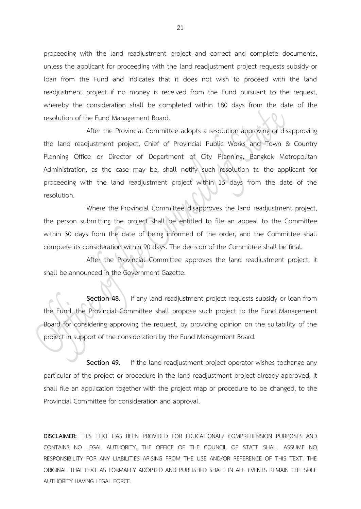proceeding with the land readjustment project and correct and complete documents, unless the applicant for proceeding with the land readjustment project requests subsidy or loan from the Fund and indicates that it does not wish to proceed with the land readjustment project if no money is received from the Fund pursuant to the request, whereby the consideration shall be completed within 180 days from the date of the resolution of the Fund Management Board.

After the Provincial Committee adopts a resolution approving or disapproving the land readjustment project, Chief of Provincial Public Works and Town & Country Planning Office or Director of Department of City Planning, Bangkok Metropolitan Administration, as the case may be, shall notify such resolution to the applicant for proceeding with the land readjustment project within 15 days from the date of the resolution.

Where the Provincial Committee disapproves the land readjustment project, the person submitting the project shall be entitled to file an appeal to the Committee within 30 days from the date of being informed of the order, and the Committee shall complete its consideration within 90 days. The decision of the Committee shall be final.

After the Provincial Committee approves the land readjustment project, it shall be announced in the Government Gazette.

**Section 48.** If any land readjustment project requests subsidy or loan from the Fund, the Provincial Committee shall propose such project to the Fund Management Board for considering approving the request, by providing opinion on the suitability of the project in support of the consideration by the Fund Management Board.

**Section 49.** If the land readjustment project operator wishes tochange any particular of the project or procedure in the land readjustment project already approved, it shall file an application together with the project map or procedure to be changed, to the Provincial Committee for consideration and approval.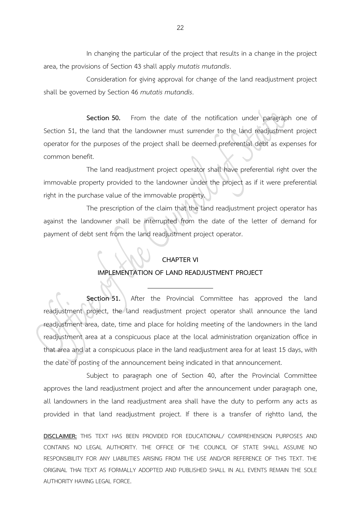In changing the particular of the project that results in a change in the project area, the provisions of Section 43 shall apply *mutatis mutandis*.

Consideration for giving approval for change of the land readjustment project shall be governed by Section 46 *mutatis mutandis*.

**Section 50.** From the date of the notification under paragraph one of Section 51, the land that the landowner must surrender to the land readjustment project operator for the purposes of the project shall be deemed preferential debt as expenses for common benefit.

The land readjustment project operator shall have preferential right over the immovable property provided to the landowner under the project as if it were preferential right in the purchase value of the immovable property.

The prescription of the claim that the land readjustment project operator has against the landowner shall be interrupted from the date of the letter of demand for payment of debt sent from the land readjustment project operator.

#### **CHAPTER VI**

#### **IMPLEMENTATION OF LAND READJUSTMENT PROJECT**

**Section 51.** After the Provincial Committee has approved the land readjustment project, the land readjustment project operator shall announce the land readjustment area, date, time and place for holding meeting of the landowners in the land readjustment area at a conspicuous place at the local administration organization office in that area and at a conspicuous place in the land readjustment area for at least 15 days, with the date of posting of the announcement being indicated in that announcement.

Subject to paragraph one of Section 40, after the Provincial Committee approves the land readjustment project and after the announcement under paragraph one, all landowners in the land readjustment area shall have the duty to perform any acts as provided in that land readjustment project. If there is a transfer of rightto land, the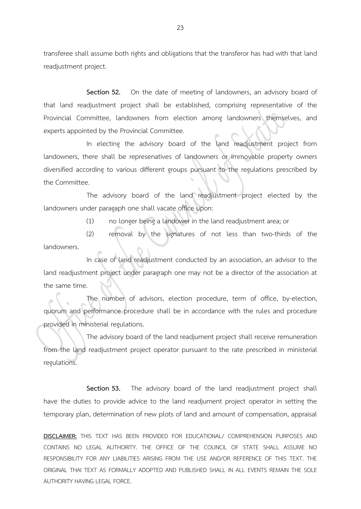transferee shall assume both rights and obligations that the transferor has had with that land readjustment project.

**Section 52.** On the date of meeting of landowners, an advisory board of that land readjustment project shall be established, comprising representative of the Provincial Committee, landowners from election among landowners themselves, and experts appointed by the Provincial Committee.

In electing the advisory board of the land readjustment project from landowners, there shall be represenatives of landowners or immovable property owners diversified according to various different groups pursuant to the regulations prescribed by the Committee.

The advisory board of the land readjustment project elected by the landowners under paragaph one shall vacate office upon:

(1) no longer being a landower in the land readjustment area; or

(2) removal by the signatures of not less than two-thirds of the landowners.

In case of land readjustment conducted by an association, an advisor to the land readjustment project under paragraph one may not be a director of the association at the same time.

The number of advisors, election procedure, term of office, by-election, quorum and performance procedure shall be in accordance with the rules and procedure provided in ministerial regulations.

The advisory board of the land readjument project shall receive remuneration from the land readjustment project operator pursuant to the rate prescribed in ministerial regulations.

**Section 53.** The advisory board of the land readjustment project shall have the duties to provide advice to the land readjument project operator in setting the temporary plan, determination of new plots of land and amount of compensation, appraisal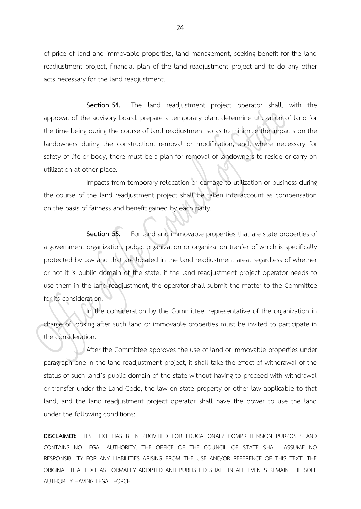of price of land and immovable properties, land management, seeking benefit for the land readjustment project, financial plan of the land readjustment project and to do any other acts necessary for the land readjustment.

**Section 54.** The land readjustment project operator shall, with the approval of the advisory board, prepare a temporary plan, determine utilization of land for the time being during the course of land readjustment so as to minimize the impacts on the landowners during the construction, removal or modification, and, where necessary for safety of life or body, there must be a plan for removal of landowners to reside or carry on utilization at other place.

Impacts from temporary relocation or damage to utilization or business during the course of the land readjustment project shall be taken into account as compensation on the basis of fairness and benefit gained by each party.

**Section 55.** For land and immovable properties that are state properties of a government organization, public organization or organization tranfer of which is specifically protected by law and that are located in the land readjustment area, regardless of whether or not it is public domain of the state, if the land readjustment project operator needs to use them in the land readjustment, the operator shall submit the matter to the Committee for its consideration.

In the consideration by the Committee, representative of the organization in charge of looking after such land or immovable properties must be invited to participate in the consideration.

After the Committee approves the use of land or immovable properties under paragraph one in the land readjustment project, it shall take the effect of withdrawal of the status of such land's public domain of the state without having to proceed with withdrawal or transfer under the Land Code, the law on state property or other law applicable to that land, and the land readjustment project operator shall have the power to use the land under the following conditions: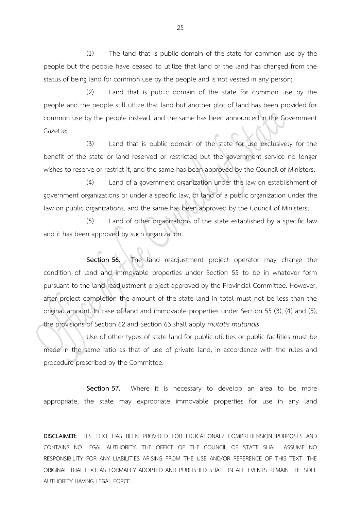(1) The land that is public domain of the state for common use by the people but the people have ceased to utilize that land or the land has changed from the status of being land for common use by the people and is not vested in any person;

(2) Land that is public domain of the state for common use by the people and the people still utlize that land but another plot of land has been provided for common use by the people instead, and the same has been announced in the Government Gazette;

(3) Land that is public domain of the state for use exclusively for the benefit of the state or land reserved or restricted but the government service no longer wishes to reserve or restrict it, and the same has been approved by the Council of Ministers;

(4) Land of a government organization under the law on establishment of government organizations or under a specific law, or land of a public organization under the law on public organizations, and the same has been approved by the Council of Ministers;

(5) Land of other organizations of the state established by a specific law and it has been approved by such organization.

**Section 56.** The land readjustment project operator may change the condition of land and immovable properties under Section 55 to be in whatever form pursuant to the land readjustment project approved by the Provincial Committee. However, after project completion the amount of the state land in total must not be less than the original amount. In case of land and immovable properties under Section 55 (3), (4) and (5), the provisions of Section 62 and Section 63 shall apply *mutatis mutandis*.

Use of other types of state land for public utilities or public facilities must be made in the same ratio as that of use of private land, in accordance with the rules and procedure prescribed by the Committee.

**Section 57.** Where it is necessary to develop an area to be more appropriate, the state may expropriate immovable properties for use in any land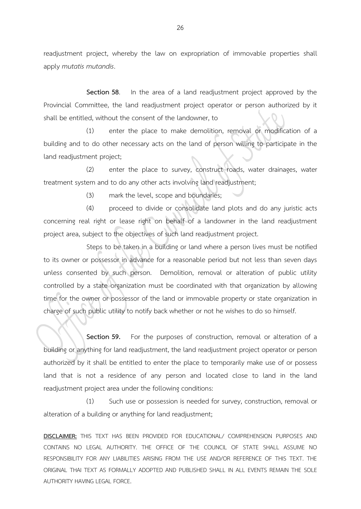readjustment project, whereby the law on expropriation of immovable properties shall apply *mutatis mutandis*.

**Section 58**. In the area of a land readjustment project approved by the Provincial Committee, the land readjustment project operator or person authorized by it shall be entitled, without the consent of the landowner, to

(1) enter the place to make demolition, removal or modification of a building and to do other necessary acts on the land of person willing to participate in the land readjustment project;

(2) enter the place to survey, construct roads, water drainages, water treatment system and to do any other acts involving land readjustment;

(3) mark the level, scope and boundaries;

(4) proceed to divide or consolidate land plots and do any juristic acts concerning real right or lease right on behalf of a landowner in the land readjustment project area, subject to the objectives of such land readjustment project.

Steps to be taken in a building or land where a person lives must be notified to its owner or possessor in advance for a reasonable period but not less than seven days unless consented by such person. Demolition, removal or alteration of public utility controlled by a state organization must be coordinated with that organization by allowing time for the owner or possessor of the land or immovable property or state organization in charge of such public utility to notify back whether or not he wishes to do so himself.

**Section 59.** For the purposes of construction, removal or alteration of a building or anything for land readjustment, the land readjustment project operator or person authorized by it shall be entitled to enter the place to temporarily make use of or possess land that is not a residence of any person and located close to land in the land readjustment project area under the following conditions:

(1) Such use or possession is needed for survey, construction, removal or alteration of a building or anything for land readjustment;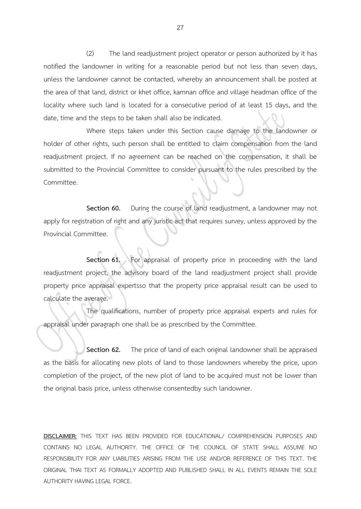(2) The land readjustment project operator or person authorized by it has notified the landowner in writing for a reasonable period but not less than seven days, unless the landowner cannot be contacted, whereby an announcement shall be posted at the area of that land, district or khet office, kamnan office and village headman office of the locality where such land is located for a consecutive period of at least 15 days, and the date, time and the steps to be taken shall also be indicated.

Where steps taken under this Section cause damage to the landowner or holder of other rights, such person shall be entitled to claim compensation from the land readjustment project. If no agreement can be reached on the compensation, it shall be submitted to the Provincial Committee to consider pursuant to the rules prescribed by the Committee.

**Section 60.** During the course of land readjustment, a landowner may not apply for registration of right and any juristic act that requires survey, unless approved by the Provincial Committee.

**Section 61.** For appraisal of property price in proceeding with the land readjustment project, the advisory board of the land readjustment project shall provide property price appraisal expertsso that the property price appraisal result can be used to calculate the average.

The qualifications, number of property price appraisal experts and rules for appraisal under paragraph one shall be as prescribed by the Committee.

**Section 62.** The price of land of each original landowner shall be appraised as the basis for allocating new plots of land to those landowners whereby the price, upon completion of the project, of the new plot of land to be acquired must not be lower than the original basis price, unless otherwise consentedby such landowner.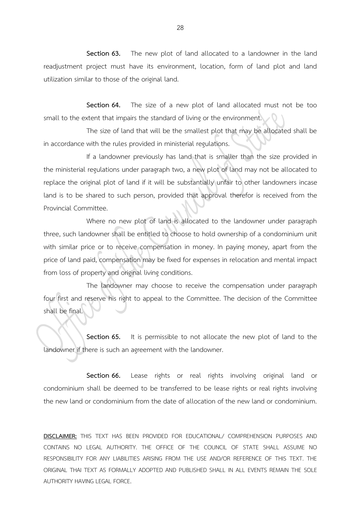**Section 63.** The new plot of land allocated to a landowner in the land readjustment project must have its environment, location, form of land plot and land utilization similar to those of the original land.

**Section 64.** The size of a new plot of land allocated must not be too small to the extent that impairs the standard of living or the environment.

The size of land that will be the smallest plot that may be allocated shall be in accordance with the rules provided in ministerial regulations.

If a landowner previously has land that is smaller than the size provided in the ministerial regulations under paragraph two, a new plot of land may not be allocated to replace the original plot of land if it will be substantially unfair to other landowners incase land is to be shared to such person, provided that approval therefor is received from the Provincial Committee.

Where no new plot of land is allocated to the landowner under paragraph three, such landowner shall be entitled to choose to hold ownership of a condominium unit with similar price or to receive compensation in money. In paying money, apart from the price of land paid, compensation may be fixed for expenses in relocation and mental impact from loss of property and original living conditions.

The landowner may choose to receive the compensation under paragraph four first and reserve his right to appeal to the Committee. The decision of the Committee shall be final.

**Section 65.** It is permissible to not allocate the new plot of land to the landowner if there is such an agreement with the landowner.

**Section 66.** Lease rights or real rights involving original land or condominium shall be deemed to be transferred to be lease rights or real rights involving the new land or condominium from the date of allocation of the new land or condominium.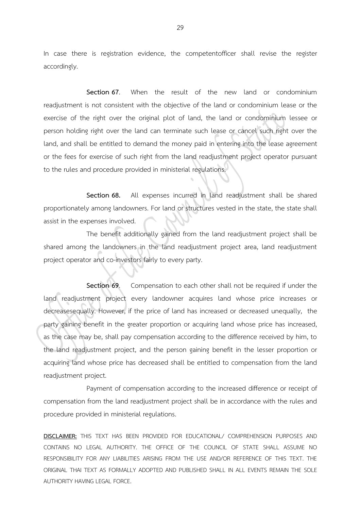In case there is registration evidence, the competentofficer shall revise the register accordingly.

**Section 67**. When the result of the new land or condominium readjustment is not consistent with the objective of the land or condominium lease or the exercise of the right over the original plot of land, the land or condominium lessee or person holding right over the land can terminate such lease or cancel such right over the land, and shall be entitled to demand the money paid in entering into the lease agreement or the fees for exercise of such right from the land readjustment project operator pursuant to the rules and procedure provided in ministerial regulations.

**Section 68.** All expenses incurred in land readjustment shall be shared proportionately among landowners. For land or structures vested in the state, the state shall assist in the expenses involved.

The benefit additionally gained from the land readjustment project shall be shared among the landowners in the land readjustment project area, land readjustment project operator and co-investors fairly to every party.

**Section 69**. Compensation to each other shall not be required if under the land readjustment project every landowner acquires land whose price increases or decreasesequally. However, if the price of land has increased or decreased unequally, the party gaining benefit in the greater proportion or acquiring land whose price has increased, as the case may be, shall pay compensation according to the difference received by him, to the land readjustment project, and the person gaining benefit in the lesser proportion or acquiring land whose price has decreased shall be entitled to compensation from the land readjustment project.

Payment of compensation according to the increased difference or receipt of compensation from the land readjustment project shall be in accordance with the rules and procedure provided in ministerial regulations.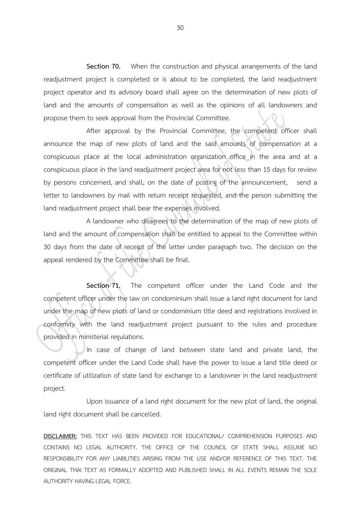**Section 70.** When the construction and physical arrangements of the land readjustment project is completed or is about to be completed, the land readjustment project operator and its advisory board shall agree on the determination of new plots of land and the amounts of compensation as well as the opinions of all landowners and propose them to seek approval from the Provincial Committee.

After approval by the Provincial Committee, the competent officer shall announce the map of new plots of land and the said amounts of compensation at a conspicuous place at the local administration organization office in the area and at a conspicuous place in the land readjustment project area for not less than 15 days for review by persons concerned, and shall, on the date of posting of the announcement, send a letter to landowners by mail with return receipt requested, and the person submitting the land readjustment project shall bear the expenses involved.

A landowner who disagrees to the determination of the map of new plots of land and the amount of compensation shall be entitled to appeal to the Committee within 30 days from the date of receipt of the letter under paragraph two. The decision on the appeal rendered by the Committee shall be final.

Section 71. The competent officer under the Land Code and the competent officer under the law on condominium shall issue a land right document for land under the map of new plots of land or condominium title deed and registrations involved in conformity with the land readjustment project pursuant to the rules and procedure provided in ministerial regulations.

In case of change of land between state land and private land, the competent officer under the Land Code shall have the power to issue a land title deed or certificate of utilization of state land for exchange to a landowner in the land readjustment project.

Upon issuance of a land right document for the new plot of land, the original land right document shall be cancelled.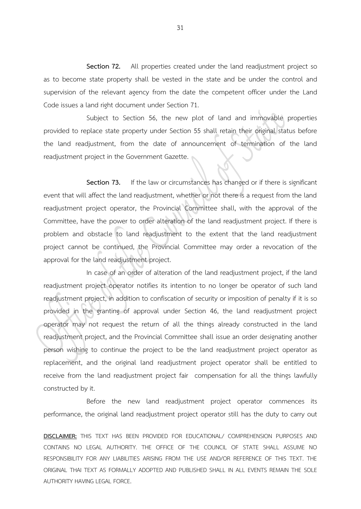**Section 72.** All properties created under the land readjustment project so as to become state property shall be vested in the state and be under the control and supervision of the relevant agency from the date the competent officer under the Land Code issues a land right document under Section 71.

Subject to Section 56, the new plot of land and immovable properties provided to replace state property under Section 55 shall retain their original status before the land readjustment, from the date of announcement of termination of the land readjustment project in the Government Gazette.

**Section 73.** If the law or circumstances has changed or if there is significant event that will affect the land readjustment, whether or not there is a request from the land readjustment project operator, the Provincial Committee shall, with the approval of the Committee, have the power to order alteration of the land readjustment project. If there is problem and obstacle to land readjustment to the extent that the land readjustment project cannot be continued, the Provincial Committee may order a revocation of the approval for the land readjustment project.

In case of an order of alteration of the land readjustment project, if the land readjustment project operator notifies its intention to no longer be operator of such land readjustment project, in addition to confiscation of security or imposition of penalty if it is so provided in the granting of approval under Section 46, the land readjustment project operator may not request the return of all the things already constructed in the land readjustment project, and the Provincial Committee shall issue an order designating another person wishing to continue the project to be the land readjustment project operator as replacement, and the original land readjustment project operator shall be entitled to receive from the land readjustment project fair compensation for all the things lawfully constructed by it.

Before the new land readjustment project operator commences its performance, the original land readjustment project operator still has the duty to carry out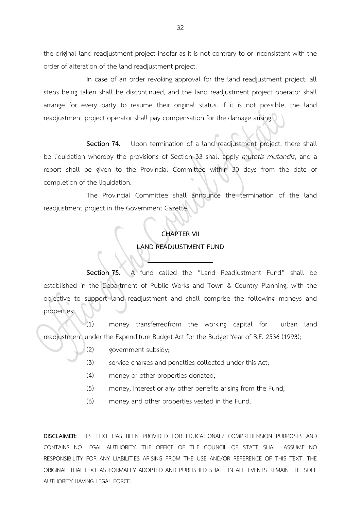the original land readjustment project insofar as it is not contrary to or inconsistent with the order of alteration of the land readjustment project.

In case of an order revoking approval for the land readjustment project, all steps being taken shall be discontinued, and the land readjustment project operator shall arrange for every party to resume their original status. If it is not possible, the land readjustment project operator shall pay compensation for the damage arising.

**Section 74.** Upon termination of a land readjustment project, there shall be liquidation whereby the provisions of Section 33 shall apply *mutatis mutandis*, and a report shall be given to the Provincial Committee within 30 days from the date of completion of the liquidation.

The Provincial Committee shall announce the termination of the land readjustment project in the Government Gazette.

# **CHAPTER VII LAND READJUSTMENT FUND**

**Section 75.** A fund called the "Land Readjustment Fund" shall be established in the Department of Public Works and Town & Country Planning, with the objective to support land readjustment and shall comprise the following moneys and properties:

(1) money transferredfrom the working capital for urban land readjustment under the Expenditure Budget Act for the Budget Year of B.E. 2536 (1993);

- (2) government subsidy;
- (3) service charges and penalties collected under this Act;
- (4) money or other properties donated;
- (5) money, interest or any other benefits arising from the Fund;
- (6) money and other properties vested in the Fund.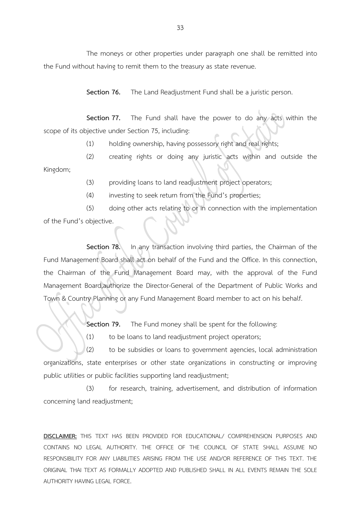The moneys or other properties under paragraph one shall be remitted into the Fund without having to remit them to the treasury as state revenue.

**Section 76.** The Land Readjustment Fund shall be a juristic person.

**Section 77.** The Fund shall have the power to do any acts within the scope of its objective under Section 75, including:

(1) holding ownership, having possessory right and real rights;

(2) creating rights or doing any juristic acts within and outside the Kingdom;

(3) providing loans to land readjustment project operators;

(4) investing to seek return from the Fund's properties;

(5) doing other acts relating to or in connection with the implementation of the Fund's objective.

**Section 78.** In any transaction involving third parties, the Chairman of the Fund Management Board shall act on behalf of the Fund and the Office. In this connection, the Chairman of the Fund Management Board may, with the approval of the Fund Management Board,authorize the Director-General of the Department of Public Works and Town & Country Planning or any Fund Management Board member to act on his behalf.

**Section 79.** The Fund money shall be spent for the following:

(1) to be loans to land readjustment project operators;

(2) to be subsidies or loans to government agencies, local administration organizations, state enterprises or other state organizations in constructing or improving public utilities or public facilities supporting land readjustment;

(3) for research, training, advertisement, and distribution of information concerning land readjustment;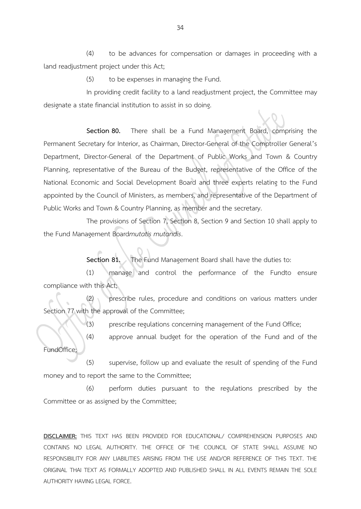(4) to be advances for compensation or damages in proceeding with a land readjustment project under this Act;

(5) to be expenses in managing the Fund.

In providing credit facility to a land readjustment project, the Committee may designate a state financial institution to assist in so doing.

**Section 80.** There shall be a Fund Management Board, comprising the Permanent Secretary for Interior, as Chairman, Director-General of the Comptroller General's Department, Director-General of the Department of Public Works and Town & Country Planning, representative of the Bureau of the Budget, representative of the Office of the National Economic and Social Development Board and three experts relating to the Fund appointed by the Council of Ministers, as members, and representative of the Department of Public Works and Town & Country Planning, as member and the secretary.

The provisions of Section 7, Section 8, Section 9 and Section 10 shall apply to the Fund Management Board*mutatis mutandis*.

**Section 81.** The Fund Management Board shall have the duties to:

(1) manage and control the performance of the Fundto ensure compliance with this Act;

(2) prescribe rules, procedure and conditions on various matters under Section 77 with the approval of the Committee;

(3) prescribe regulations concerning management of the Fund Office;

(4) approve annual budget for the operation of the Fund and of the FundOffice;

(5) supervise, follow up and evaluate the result of spending of the Fund money and to report the same to the Committee;

(6) perform duties pursuant to the regulations prescribed by the Committee or as assigned by the Committee;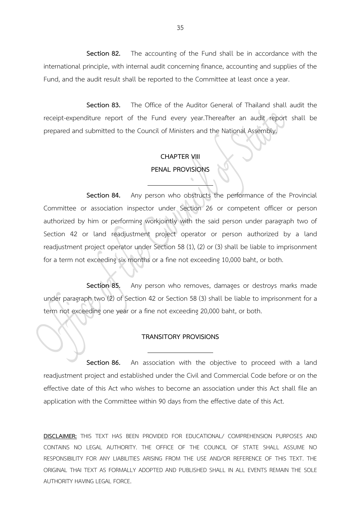**Section 82.** The accounting of the Fund shall be in accordance with the international principle, with internal audit concerning finance, accounting and supplies of the Fund, and the audit result shall be reported to the Committee at least once a year.

**Section 83.** The Office of the Auditor General of Thailand shall audit the receipt-expenditure report of the Fund every year.Thereafter an audit report shall be prepared and submitted to the Council of Ministers and the National Assembly.

# **CHAPTER VIII PENAL PROVISIONS**

**Section 84.** Any person who obstructs the performance of the Provincial Committee or association inspector under Section 26 or competent officer or person authorized by him or performing workjointly with the said person under paragraph two of Section 42 or land readjustment project operator or person authorized by a land readjustment project operator under Section 58 (1), (2) or (3) shall be liable to imprisonment for a term not exceeding six months or a fine not exceeding 10,000 baht, or both.

**Section 85.** Any person who removes, damages or destroys marks made under paragraph two (2) of Section 42 or Section 58 (3) shall be liable to imprisonment for a term not exceeding one year or a fine not exceeding 20,000 baht, or both.

#### **TRANSITORY PROVISIONS**

**Section 86.** An association with the objective to proceed with a land readjustment project and established under the Civil and Commercial Code before or on the effective date of this Act who wishes to become an association under this Act shall file an application with the Committee within 90 days from the effective date of this Act.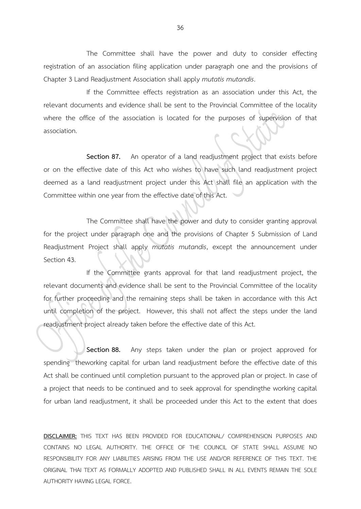The Committee shall have the power and duty to consider effecting registration of an association filing application under paragraph one and the provisions of Chapter 3 Land Readjustment Association shall apply *mutatis mutandis*.

If the Committee effects registration as an association under this Act, the relevant documents and evidence shall be sent to the Provincial Committee of the locality where the office of the association is located for the purposes of supervision of that association.

**Section 87.** An operator of a land readjustment project that exists before or on the effective date of this Act who wishes to have such land readjustment project deemed as a land readjustment project under this Act shall file an application with the Committee within one year from the effective date of this Act.

The Committee shall have the power and duty to consider granting approval for the project under paragraph one and the provisions of Chapter 5 Submission of Land Readjustment Project shall apply *mutatis mutandis*, except the announcement under Section 43.

If the Committee grants approval for that land readjustment project, the relevant documents and evidence shall be sent to the Provincial Committee of the locality for further proceeding and the remaining steps shall be taken in accordance with this Act until completion of the project. However, this shall not affect the steps under the land readjustment project already taken before the effective date of this Act.

**Section 88.** Any steps taken under the plan or project approved for spending theworking capital for urban land readjustment before the effective date of this Act shall be continued until completion pursuant to the approved plan or project. In case of a project that needs to be continued and to seek approval for spendingthe working capital for urban land readjustment, it shall be proceeded under this Act to the extent that does